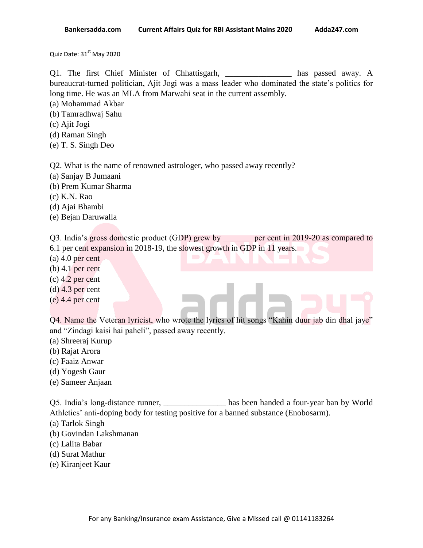Quiz Date: 31<sup>st</sup> May 2020

Q1. The first Chief Minister of Chhattisgarh, \_\_\_\_\_\_\_\_\_\_\_\_\_\_\_\_ has passed away. A bureaucrat-turned politician, Ajit Jogi was a mass leader who dominated the state"s politics for long time. He was an MLA from Marwahi seat in the current assembly.

(a) Mohammad Akbar

- (b) Tamradhwaj Sahu
- (c) Ajit Jogi
- (d) Raman Singh
- (e) T. S. Singh Deo

Q2. What is the name of renowned astrologer, who passed away recently?

- (a) Sanjay B Jumaani
- (b) Prem Kumar Sharma
- (c) K.N. Rao
- (d) Ajai Bhambi
- (e) Bejan Daruwalla

Q3. India's gross domestic product (GDP) grew by enter per cent in 2019-20 as compared to 6.1 per cent expansion in 2018-19, the slowest growth in GDP in 11 years.

- 
- (a) 4.0 per cent
- (b) 4.1 per cent
- (c) 4.2 per cent
- (d) 4.3 per cent
- (e) 4.4 per cent

Q4. Name the Veteran lyricist, who wrote the lyrics of hit songs "Kahin duur jab din dhal jaye" and "Zindagi kaisi hai paheli", passed away recently.

- (a) Shreeraj Kurup
- (b) Rajat Arora
- (c) Faaiz Anwar
- (d) Yogesh Gaur
- (e) Sameer Anjaan

Q5. India"s long-distance runner, \_\_\_\_\_\_\_\_\_\_\_\_\_\_\_ has been handed a four-year ban by World Athletics' anti-doping body for testing positive for a banned substance (Enobosarm).

- (a) Tarlok Singh
- (b) Govindan Lakshmanan
- (c) Lalita Babar
- (d) Surat Mathur
- (e) Kiranjeet Kaur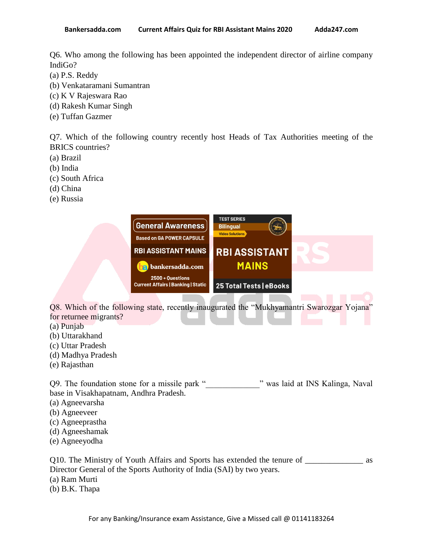Q6. Who among the following has been appointed the independent director of airline company IndiGo?

- (a) P.S. Reddy
- (b) Venkataramani Sumantran
- (c) K V Rajeswara Rao
- (d) Rakesh Kumar Singh
- (e) Tuffan Gazmer

Q7. Which of the following country recently host Heads of Tax Authorities meeting of the BRICS countries?

- (a) Brazil
- (b) India
- (c) South Africa
- (d) China
- (e) Russia



Q8. Which of the following state, recently inaugurated the "Mukhyamantri Swarozgar Yojana" for returnee migrants?

- (a) Punjab
- (b) Uttarakhand
- (c) Uttar Pradesh
- (d) Madhya Pradesh
- (e) Rajasthan

Q9. The foundation stone for a missile park " was laid at INS Kalinga, Naval base in Visakhapatnam, Andhra Pradesh.

- (a) Agneevarsha
- (b) Agneeveer
- (c) Agneeprastha
- (d) Agneeshamak
- (e) Agneeyodha

Q10. The Ministry of Youth Affairs and Sports has extended the tenure of \_\_\_\_\_\_\_\_\_\_\_\_\_\_ as Director General of the Sports Authority of India (SAI) by two years. (a) Ram Murti (b) B.K. Thapa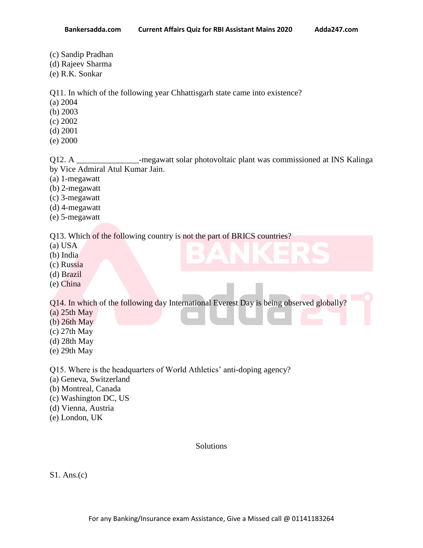- (c) Sandip Pradhan
- (d) Rajeev Sharma
- (e) R.K. Sonkar

Q11. In which of the following year Chhattisgarh state came into existence?

- (a) 2004
- (b) 2003
- (c) 2002
- (d) 2001
- (e) 2000

Q12. A \_\_\_\_\_\_\_\_\_\_\_\_\_\_\_\_-megawatt solar photovoltaic plant was commissioned at INS Kalinga by Vice Admiral Atul Kumar Jain.

- (a) 1-megawatt
- (b) 2-megawatt
- (c) 3-megawatt
- (d) 4-megawatt
- (e) 5-megawatt

Q13. Which of the following country is not the part of BRICS countries?

- (a) USA
- (b) India
- (c) Russia
- (d) Brazil
- (e) China

Q14. In which of the following day International Everest Day is being observed globally?

- (a) 25th May
- (b) 26th May
- (c) 27th May
- (d) 28th May
- (e) 29th May

Q15. Where is the headquarters of World Athletics' anti-doping agency?

- (a) Geneva, Switzerland
- (b) Montreal, Canada
- (c) Washington DC, US
- (d) Vienna, Austria
- (e) London, UK

# Solutions

S1. Ans.(c)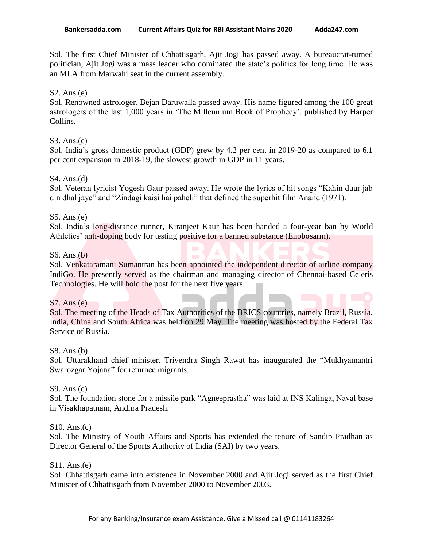Sol. The first Chief Minister of Chhattisgarh, Ajit Jogi has passed away. A bureaucrat-turned politician, Ajit Jogi was a mass leader who dominated the state"s politics for long time. He was an MLA from Marwahi seat in the current assembly.

## $S2. Ans.(e)$

Sol. Renowned astrologer, Bejan Daruwalla passed away. His name figured among the 100 great astrologers of the last 1,000 years in "The Millennium Book of Prophecy", published by Harper Collins.

### S3. Ans.(c)

Sol. India's gross domestic product (GDP) grew by 4.2 per cent in 2019-20 as compared to 6.1 per cent expansion in 2018-19, the slowest growth in GDP in 11 years.

### S4. Ans.(d)

Sol. Veteran lyricist Yogesh Gaur passed away. He wrote the lyrics of hit songs "Kahin duur jab din dhal jaye" and "Zindagi kaisi hai paheli" that defined the superhit film Anand (1971).

### S5. Ans.(e)

Sol. India"s long-distance runner, Kiranjeet Kaur has been handed a four-year ban by World Athletics' anti-doping body for testing positive for a banned substance (Enobosarm).

### S6. Ans.(b)

Sol. Venkataramani Sumantran has been appointed the independent director of airline company IndiGo. He presently served as the chairman and managing director of Chennai-based Celeris Technologies. He will hold the post for the next five years.

#### S7. Ans.(e)

Sol. The meeting of the Heads of Tax Authorities of the BRICS countries, namely Brazil, Russia, India, China and South Africa was held on 29 May. The meeting was hosted by the Federal Tax Service of Russia.

#### S8. Ans.(b)

Sol. Uttarakhand chief minister, Trivendra Singh Rawat has inaugurated the "Mukhyamantri Swarozgar Yojana" for returnee migrants.

#### S9. Ans.(c)

Sol. The foundation stone for a missile park "Agneeprastha" was laid at INS Kalinga, Naval base in Visakhapatnam, Andhra Pradesh.

#### S10. Ans.(c)

Sol. The Ministry of Youth Affairs and Sports has extended the tenure of Sandip Pradhan as Director General of the Sports Authority of India (SAI) by two years.

#### S11. Ans.(e)

Sol. Chhattisgarh came into existence in November 2000 and Ajit Jogi served as the first Chief Minister of Chhattisgarh from November 2000 to November 2003.